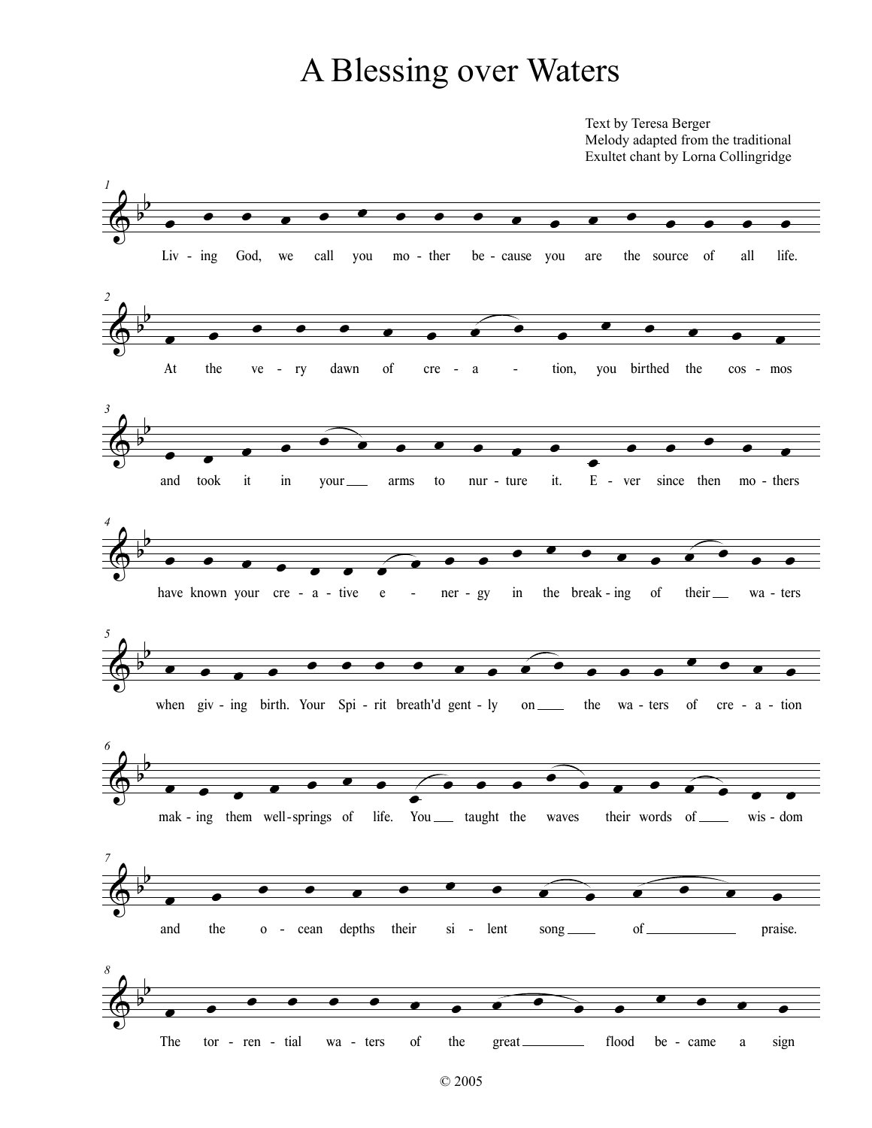## A Blessing over Waters

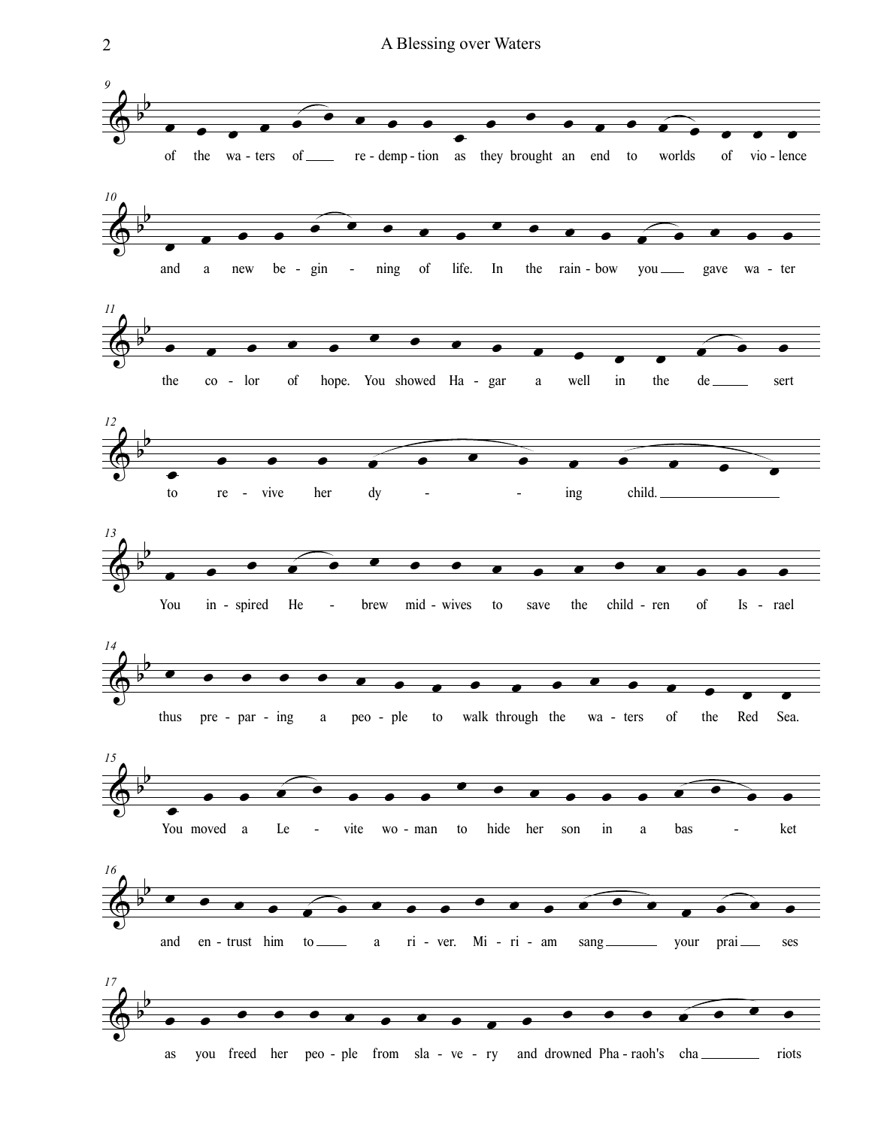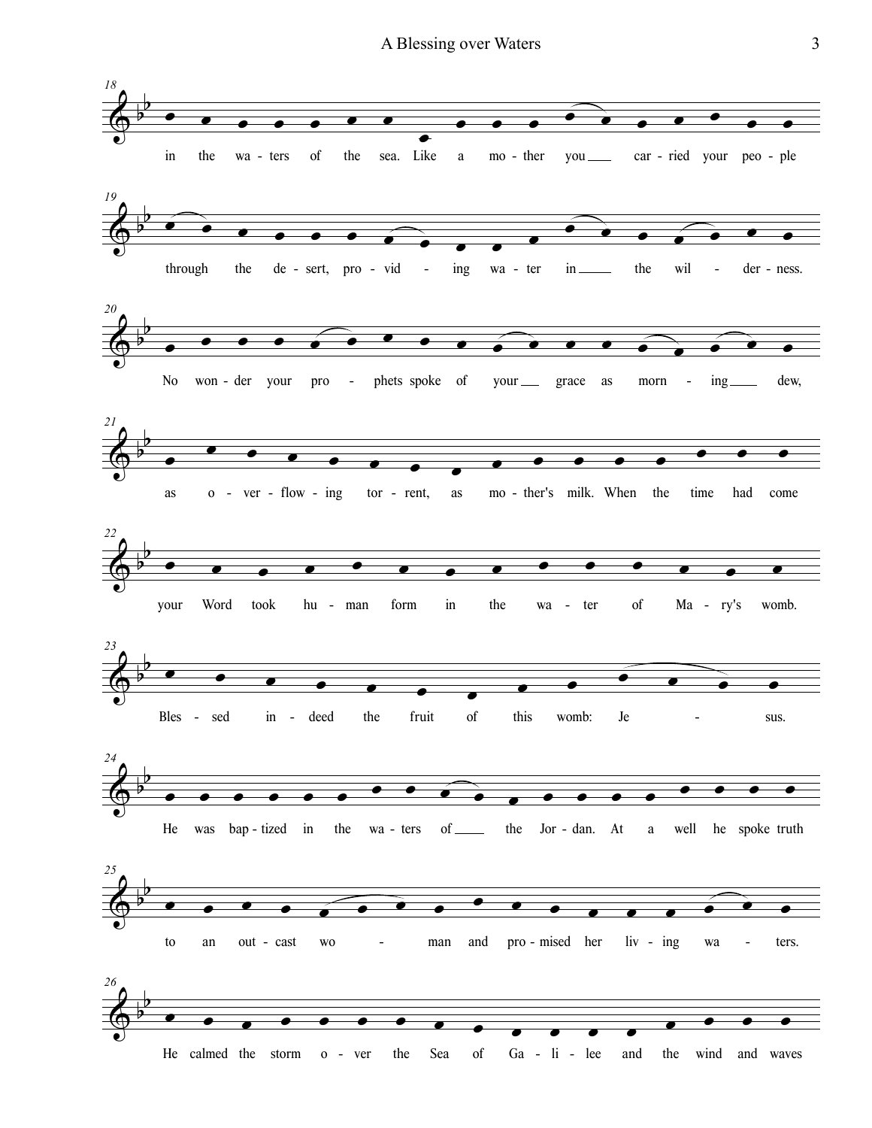